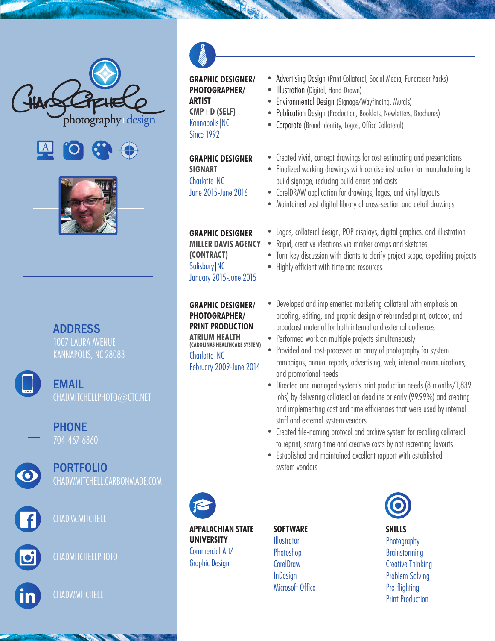





## ADDRESS

1007 LAURA AVENUE KANNAPOLIS, NC 28083

EMAIL CHADMITCHELLPHOTO@CTC.NET

PHONE 704-467-6360



PORTFOLIO



CHAD.W.MITCHELL



CHADMITCHELLPHOTO



**CHADWMITCHELL** 



**GRAPHIC DESIGNER/ PHOTOGRAPHER/ ARTIST CMP+D (SELF)** Kannapolis|NC Since 1992

**GRAPHIC DESIGNER**

**SIGNART** Charlotte|NC June 2015-June 2016

**GRAPHIC DESIGNER MILLER DAVIS AGENCY (CONTRACT)** Salisbury|NC January 2015-June 2015

**GRAPHIC DESIGNER/ PHOTOGRAPHER/ PRINT PRODUCTION ATRIUM HEALTH (CAROLINAS HEALTHCARE SYSTEM)** Charlotte|NC February 2009-June 2014

- Advertising Design (Print Collateral, Social Media, Fundraiser Packs)
- Illustration (Digital, Hand-Drawn)
- Environmental Design (Signage/Wayfinding, Murals)
- Publication Design (Production, Booklets, Newletters, Brochures)
- Corporate (Brand Identity, Logos, Office Collateral)
- Created vivid, concept drawings for cost estimating and presentations
- Finalized working drawings with concise instruction for manufacturing to build signage, reducing build errors and costs
- CorelDRAW application for drawings, logos, and vinyl layouts
- Maintained vast digital library of cross-section and detail drawings
- Logos, collateral design, POP displays, digital graphics, and illustration
- Rapid, creative ideations via marker comps and sketches
- Turn-key discussion with clients to clarify project scope, expediting projects
- Highly efficient with time and resources
- Developed and implemented marketing collateral with emphasis on proofing, editing, and graphic design of rebranded print, outdoor, and broadcast material for both internal and external audiences
- Performed work on multiple projects simultaneously
- Provided and post-processed an array of photography for system campaigns, annual reports, advertising, web, internal communications, and promotional needs
- Directed and managed system's print production needs (8 months/1,839 jobs) by delivering collateral on deadline or early (99.99%) and creating and implementing cost and time efficiencies that were used by internal staff and external system vendors
- Created file-naming protocol and archive system for recalling collateral to reprint, saving time and creative costs by not recreating layouts
- Established and maintained excellent rapport with established system vendors



**APPALACHIAN STATE UNIVERSITY** Commercial Art/ Graphic Design

## **SOFTWARE Illustrator**

Photoshop **CorelDraw InDesign** Microsoft Office



## **SKILLS**

**Photography Brainstorming** Creative Thinking Problem Solving Pre-flighting Print Production